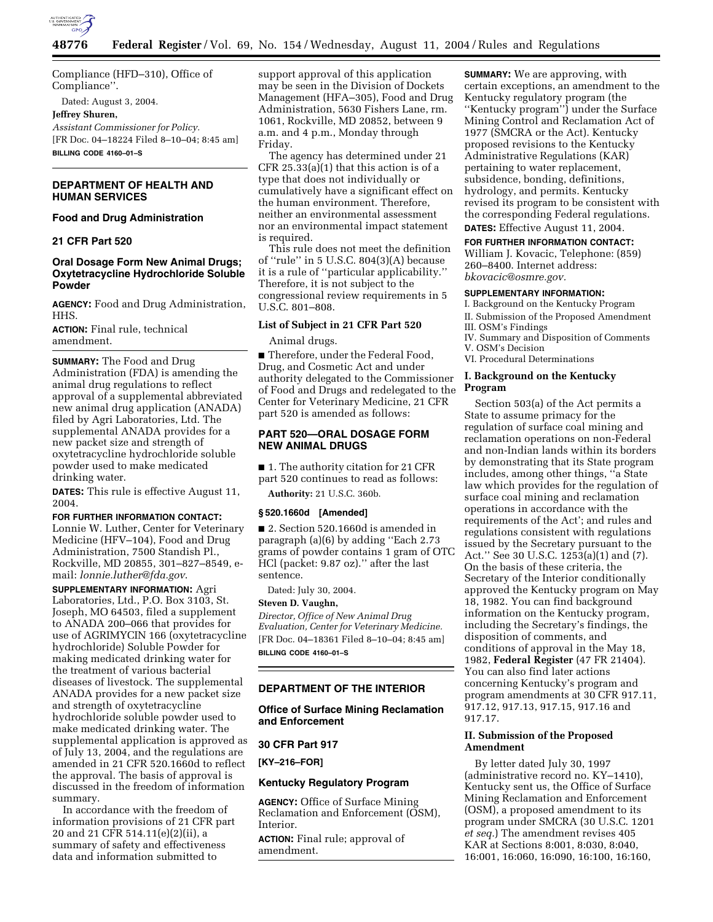

Compliance (HFD–310), Office of Compliance''.

Dated: August 3, 2004.

# **Jeffrey Shuren,**

*Assistant Commissioner for Policy.* [FR Doc. 04–18224 Filed 8–10–04; 8:45 am] **BILLING CODE 4160–01–S**

# **DEPARTMENT OF HEALTH AND HUMAN SERVICES**

# **Food and Drug Administration**

# **21 CFR Part 520**

# **Oral Dosage Form New Animal Drugs; Oxytetracycline Hydrochloride Soluble Powder**

**AGENCY:** Food and Drug Administration, HHS.

**ACTION:** Final rule, technical amendment.

**SUMMARY:** The Food and Drug Administration (FDA) is amending the animal drug regulations to reflect approval of a supplemental abbreviated new animal drug application (ANADA) filed by Agri Laboratories, Ltd. The supplemental ANADA provides for a new packet size and strength of oxytetracycline hydrochloride soluble powder used to make medicated drinking water.

**DATES:** This rule is effective August 11, 2004.

## **FOR FURTHER INFORMATION CONTACT:**

Lonnie W. Luther, Center for Veterinary Medicine (HFV–104), Food and Drug Administration, 7500 Standish Pl., Rockville, MD 20855, 301–827–8549, email: *lonnie.luther@fda.gov*.

**SUPPLEMENTARY INFORMATION:** Agri Laboratories, Ltd., P.O. Box 3103, St. Joseph, MO 64503, filed a supplement to ANADA 200–066 that provides for use of AGRIMYCIN 166 (oxytetracycline hydrochloride) Soluble Powder for making medicated drinking water for the treatment of various bacterial diseases of livestock. The supplemental ANADA provides for a new packet size and strength of oxytetracycline hydrochloride soluble powder used to make medicated drinking water. The supplemental application is approved as of July 13, 2004, and the regulations are amended in 21 CFR 520.1660d to reflect the approval. The basis of approval is discussed in the freedom of information summary.

In accordance with the freedom of information provisions of 21 CFR part 20 and 21 CFR 514.11(e)(2)(ii), a summary of safety and effectiveness data and information submitted to

support approval of this application may be seen in the Division of Dockets Management (HFA–305), Food and Drug Administration, 5630 Fishers Lane, rm. 1061, Rockville, MD 20852, between 9 a.m. and 4 p.m., Monday through Friday.

The agency has determined under 21 CFR 25.33(a)(1) that this action is of a type that does not individually or cumulatively have a significant effect on the human environment. Therefore, neither an environmental assessment nor an environmental impact statement is required.

This rule does not meet the definition of ''rule'' in 5 U.S.C. 804(3)(A) because it is a rule of ''particular applicability.'' Therefore, it is not subject to the congressional review requirements in 5 U.S.C. 801–808.

# **List of Subject in 21 CFR Part 520**

Animal drugs.

■ Therefore, under the Federal Food, Drug, and Cosmetic Act and under authority delegated to the Commissioner of Food and Drugs and redelegated to the Center for Veterinary Medicine, 21 CFR part 520 is amended as follows:

# **PART 520—ORAL DOSAGE FORM NEW ANIMAL DRUGS**

■ 1. The authority citation for 21 CFR part 520 continues to read as follows:

**Authority:** 21 U.S.C. 360b.

## **§ 520.1660d [Amended]**

■ 2. Section 520.1660d is amended in paragraph (a)(6) by adding ''Each 2.73 grams of powder contains 1 gram of OTC HCl (packet: 9.87 oz).'' after the last sentence.

Dated: July 30, 2004.

#### **Steven D. Vaughn,**

*Director, Office of New Animal Drug Evaluation, Center for Veterinary Medicine.* [FR Doc. 04–18361 Filed 8–10–04; 8:45 am] **BILLING CODE 4160–01–S**

## **DEPARTMENT OF THE INTERIOR**

# **Office of Surface Mining Reclamation and Enforcement**

# **30 CFR Part 917**

**[KY–216–FOR]** 

## **Kentucky Regulatory Program**

**AGENCY:** Office of Surface Mining Reclamation and Enforcement (OSM), Interior.

**ACTION:** Final rule; approval of amendment.

**SUMMARY:** We are approving, with certain exceptions, an amendment to the Kentucky regulatory program (the ''Kentucky program'') under the Surface Mining Control and Reclamation Act of 1977 (SMCRA or the Act). Kentucky proposed revisions to the Kentucky Administrative Regulations (KAR) pertaining to water replacement, subsidence, bonding, definitions, hydrology, and permits. Kentucky revised its program to be consistent with the corresponding Federal regulations.

**DATES:** Effective August 11, 2004.

### **FOR FURTHER INFORMATION CONTACT:**

William J. Kovacic, Telephone: (859) 260–8400. Internet address: *bkovacic@osmre.gov.*

### **SUPPLEMENTARY INFORMATION:**

I. Background on the Kentucky Program II. Submission of the Proposed Amendment

- III. OSM's Findings
- IV. Summary and Disposition of Comments V. OSM's Decision
- VI. Procedural Determinations

### **I. Background on the Kentucky Program**

Section 503(a) of the Act permits a State to assume primacy for the regulation of surface coal mining and reclamation operations on non-Federal and non-Indian lands within its borders by demonstrating that its State program includes, among other things, ''a State law which provides for the regulation of surface coal mining and reclamation operations in accordance with the requirements of the Act'; and rules and regulations consistent with regulations issued by the Secretary pursuant to the Act.'' See 30 U.S.C. 1253(a)(1) and (7). On the basis of these criteria, the Secretary of the Interior conditionally approved the Kentucky program on May 18, 1982. You can find background information on the Kentucky program, including the Secretary's findings, the disposition of comments, and conditions of approval in the May 18, 1982, **Federal Register** (47 FR 21404). You can also find later actions concerning Kentucky's program and program amendments at 30 CFR 917.11, 917.12, 917.13, 917.15, 917.16 and 917.17.

## **II. Submission of the Proposed Amendment**

By letter dated July 30, 1997 (administrative record no. KY–1410), Kentucky sent us, the Office of Surface Mining Reclamation and Enforcement (OSM), a proposed amendment to its program under SMCRA (30 U.S.C. 1201 *et seq.*) The amendment revises 405 KAR at Sections 8:001, 8:030, 8:040, 16:001, 16:060, 16:090, 16:100, 16:160,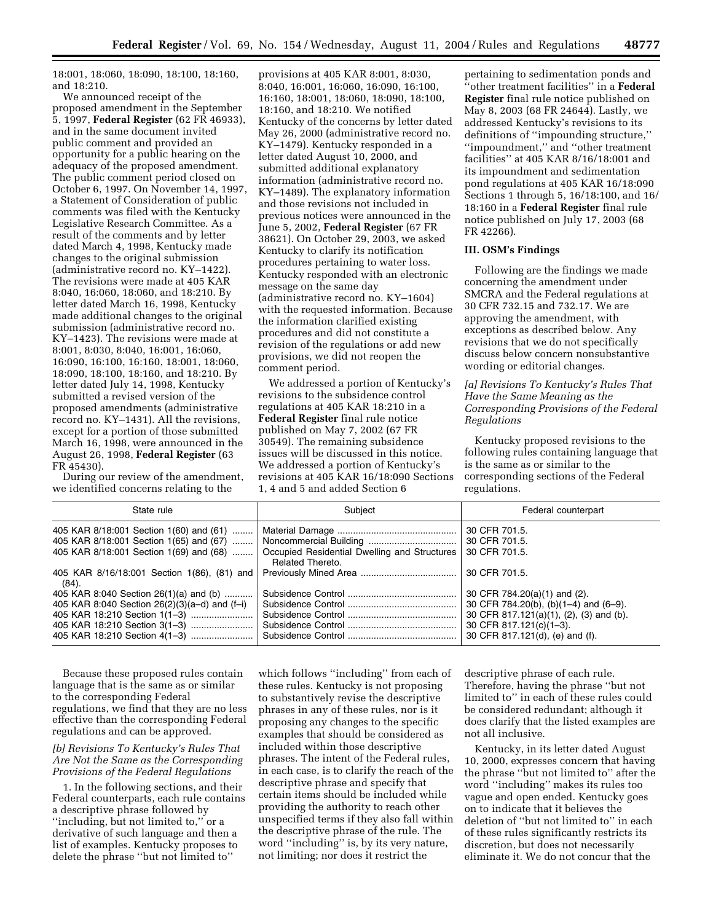18:001, 18:060, 18:090, 18:100, 18:160, and 18:210.

We announced receipt of the proposed amendment in the September 5, 1997, **Federal Register** (62 FR 46933), and in the same document invited public comment and provided an opportunity for a public hearing on the adequacy of the proposed amendment. The public comment period closed on October 6, 1997. On November 14, 1997, a Statement of Consideration of public comments was filed with the Kentucky Legislative Research Committee. As a result of the comments and by letter dated March 4, 1998, Kentucky made changes to the original submission (administrative record no. KY–1422). The revisions were made at 405 KAR 8:040, 16:060, 18:060, and 18:210. By letter dated March 16, 1998, Kentucky made additional changes to the original submission (administrative record no. KY–1423). The revisions were made at 8:001, 8:030, 8:040, 16:001, 16:060, 16:090, 16:100, 16:160, 18:001, 18:060, 18:090, 18:100, 18:160, and 18:210. By letter dated July 14, 1998, Kentucky submitted a revised version of the proposed amendments (administrative record no. KY–1431). All the revisions, except for a portion of those submitted March 16, 1998, were announced in the August 26, 1998, **Federal Register** (63 FR 45430).

During our review of the amendment, we identified concerns relating to the

provisions at 405 KAR 8:001, 8:030, 8:040, 16:001, 16:060, 16:090, 16:100, 16:160, 18:001, 18:060, 18:090, 18:100, 18:160, and 18:210. We notified Kentucky of the concerns by letter dated May 26, 2000 (administrative record no. KY–1479). Kentucky responded in a letter dated August 10, 2000, and submitted additional explanatory information (administrative record no. KY–1489). The explanatory information and those revisions not included in previous notices were announced in the June 5, 2002, **Federal Register** (67 FR 38621). On October 29, 2003, we asked Kentucky to clarify its notification procedures pertaining to water loss. Kentucky responded with an electronic message on the same day (administrative record no. KY–1604) with the requested information. Because the information clarified existing procedures and did not constitute a revision of the regulations or add new provisions, we did not reopen the comment period.

We addressed a portion of Kentucky's revisions to the subsidence control regulations at 405 KAR 18:210 in a **Federal Register** final rule notice published on May 7, 2002 (67 FR 30549). The remaining subsidence issues will be discussed in this notice. We addressed a portion of Kentucky's revisions at 405 KAR 16/18:090 Sections 1, 4 and 5 and added Section 6

pertaining to sedimentation ponds and ''other treatment facilities'' in a **Federal Register** final rule notice published on May 8, 2003 (68 FR 24644). Lastly, we addressed Kentucky's revisions to its definitions of ''impounding structure,'' ''impoundment,'' and ''other treatment facilities'' at 405 KAR 8/16/18:001 and its impoundment and sedimentation pond regulations at 405 KAR 16/18:090 Sections 1 through 5, 16/18:100, and 16/ 18:160 in a **Federal Register** final rule notice published on July 17, 2003 (68 FR 42266).

### **III. OSM's Findings**

Following are the findings we made concerning the amendment under SMCRA and the Federal regulations at 30 CFR 732.15 and 732.17. We are approving the amendment, with exceptions as described below. Any revisions that we do not specifically discuss below concern nonsubstantive wording or editorial changes.

# *[a] Revisions To Kentucky's Rules That Have the Same Meaning as the Corresponding Provisions of the Federal Regulations*

Kentucky proposed revisions to the following rules containing language that is the same as or similar to the corresponding sections of the Federal regulations.

| State rule                                                                              | Subject          | Federal counterpart                     |  |
|-----------------------------------------------------------------------------------------|------------------|-----------------------------------------|--|
| 405 KAR 8/18:001 Section 1(65) and (67)    Noncommercial Building                       |                  | 30 CFR 701.5.<br>30 CFR 701.5.          |  |
| 405 KAR 8/18:001 Section 1(69) and (68)    Occupied Residential Dwelling and Structures | Related Thereto. | 30 CFR 701.5.                           |  |
| $(84)$ .                                                                                |                  | 30 CFR 701.5.                           |  |
| 405 KAR 8:040 Section $26(1)(a)$ and (b)                                                |                  | 30 CFR 784.20(a)(1) and (2).            |  |
| 405 KAR 8:040 Section $26(2)(3)(a-d)$ and $(f-i)$                                       |                  | 30 CFR 784.20(b), (b)(1-4) and (6-9).   |  |
|                                                                                         |                  | 30 CFR 817.121(a)(1), (2), (3) and (b). |  |
| 405 KAR 18:210 Section 3(1-3)                                                           |                  | 30 CFR 817.121(c)(1-3).                 |  |
| 405 KAR 18:210 Section 4(1-3)                                                           |                  | 30 CFR 817.121(d), (e) and (f).         |  |

Because these proposed rules contain language that is the same as or similar to the corresponding Federal regulations, we find that they are no less effective than the corresponding Federal regulations and can be approved.

# *[b] Revisions To Kentucky's Rules That Are Not the Same as the Corresponding Provisions of the Federal Regulations*

1. In the following sections, and their Federal counterparts, each rule contains a descriptive phrase followed by "including, but not limited to," or a derivative of such language and then a list of examples. Kentucky proposes to delete the phrase ''but not limited to''

which follows ''including'' from each of these rules. Kentucky is not proposing to substantively revise the descriptive phrases in any of these rules, nor is it proposing any changes to the specific examples that should be considered as included within those descriptive phrases. The intent of the Federal rules, in each case, is to clarify the reach of the descriptive phrase and specify that certain items should be included while providing the authority to reach other unspecified terms if they also fall within the descriptive phrase of the rule. The word ''including'' is, by its very nature, not limiting; nor does it restrict the

descriptive phrase of each rule. Therefore, having the phrase ''but not limited to'' in each of these rules could be considered redundant; although it does clarify that the listed examples are not all inclusive.

Kentucky, in its letter dated August 10, 2000, expresses concern that having the phrase ''but not limited to'' after the word ''including'' makes its rules too vague and open ended. Kentucky goes on to indicate that it believes the deletion of ''but not limited to'' in each of these rules significantly restricts its discretion, but does not necessarily eliminate it. We do not concur that the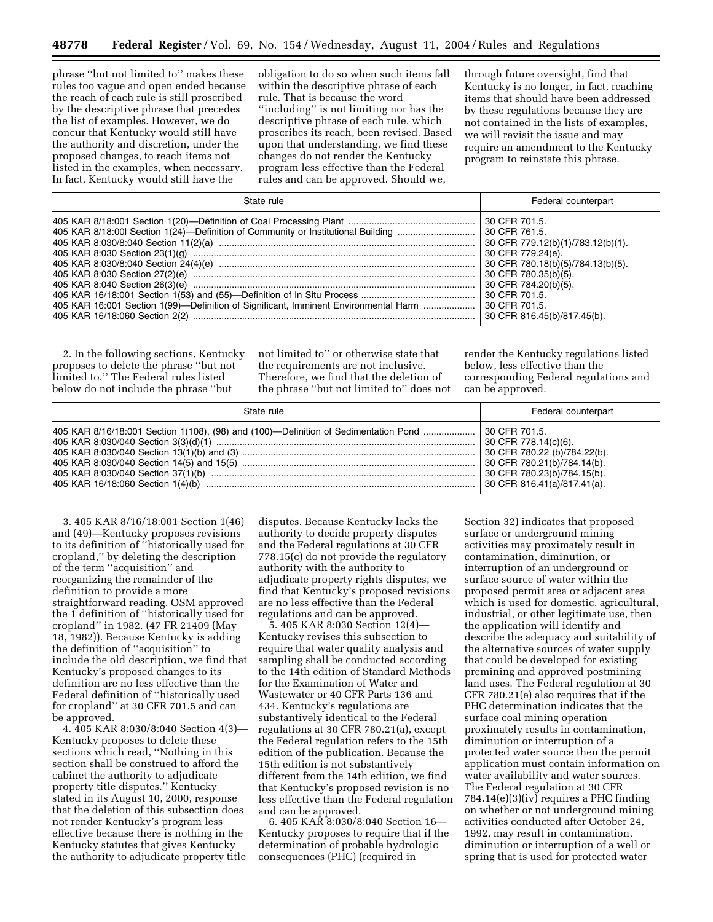phrase ''but not limited to'' makes these rules too vague and open ended because the reach of each rule is still proscribed by the descriptive phrase that precedes the list of examples. However, we do concur that Kentucky would still have the authority and discretion, under the proposed changes, to reach items not listed in the examples, when necessary. In fact, Kentucky would still have the

obligation to do so when such items fall within the descriptive phrase of each rule. That is because the word ''including'' is not limiting nor has the descriptive phrase of each rule, which proscribes its reach, been revised. Based upon that understanding, we find these changes do not render the Kentucky program less effective than the Federal rules and can be approved. Should we,

through future oversight, find that Kentucky is no longer, in fact, reaching items that should have been addressed by these regulations because they are not contained in the lists of examples, we will revisit the issue and may require an amendment to the Kentucky program to reinstate this phrase.

| State rule                                                                                         | Federal counterpart                                                                                                                                                                         |  |
|----------------------------------------------------------------------------------------------------|---------------------------------------------------------------------------------------------------------------------------------------------------------------------------------------------|--|
| 405 KAR 16:001 Section 1(99)-Definition of Significant, Imminent Environmental Harm  30 CFR 701.5. | 30 CFR 761.5.<br>30 CFR 779.12(b)(1)/783.12(b)(1).<br>30 CFR 779.24(e).<br>30 CFR 780.18(b)(5)/784.13(b)(5).<br>30 CFR 780.35(b)(5).<br>30 CFR 784.20(b)(5).<br>30 CFR 816.45(b)/817.45(b). |  |

2. In the following sections, Kentucky proposes to delete the phrase ''but not limited to.'' The Federal rules listed below do not include the phrase ''but

not limited to'' or otherwise state that the requirements are not inclusive. Therefore, we find that the deletion of the phrase ''but not limited to'' does not

render the Kentucky regulations listed below, less effective than the corresponding Federal regulations and can be approved.

| State rule | Federal counterpart                                                        |  |  |
|------------|----------------------------------------------------------------------------|--|--|
|            | $\vert$ 30 CFR 780.23(b)/784.15(b).<br>$\vert$ 30 CFR 816.41(a)/817.41(a). |  |  |

3. 405 KAR 8/16/18:001 Section 1(46) and (49)—Kentucky proposes revisions to its definition of ''historically used for cropland,'' by deleting the description of the term ''acquisition'' and reorganizing the remainder of the definition to provide a more straightforward reading. OSM approved the 1 definition of ''historically used for cropland'' in 1982. (47 FR 21409 (May 18, 1982)). Because Kentucky is adding the definition of ''acquisition'' to include the old description, we find that Kentucky's proposed changes to its definition are no less effective than the Federal definition of ''historically used for cropland'' at 30 CFR 701.5 and can be approved.

4. 405 KAR 8:030/8:040 Section 4(3)— Kentucky proposes to delete these sections which read, ''Nothing in this section shall be construed to afford the cabinet the authority to adjudicate property title disputes.'' Kentucky stated in its August 10, 2000, response that the deletion of this subsection does not render Kentucky's program less effective because there is nothing in the Kentucky statutes that gives Kentucky the authority to adjudicate property title

disputes. Because Kentucky lacks the authority to decide property disputes and the Federal regulations at 30 CFR 778.15(c) do not provide the regulatory authority with the authority to adjudicate property rights disputes, we find that Kentucky's proposed revisions are no less effective than the Federal regulations and can be approved.

5. 405 KAR 8:030 Section 12(4)— Kentucky revises this subsection to require that water quality analysis and sampling shall be conducted according to the 14th edition of Standard Methods for the Examination of Water and Wastewater or 40 CFR Parts 136 and 434. Kentucky's regulations are substantively identical to the Federal regulations at 30 CFR 780.21(a), except the Federal regulation refers to the 15th edition of the publication. Because the 15th edition is not substantively different from the 14th edition, we find that Kentucky's proposed revision is no less effective than the Federal regulation and can be approved.

6. 405 KAR 8:030/8:040 Section 16— Kentucky proposes to require that if the determination of probable hydrologic consequences (PHC) (required in

Section 32) indicates that proposed surface or underground mining activities may proximately result in contamination, diminution, or interruption of an underground or surface source of water within the proposed permit area or adjacent area which is used for domestic, agricultural, industrial, or other legitimate use, then the application will identify and describe the adequacy and suitability of the alternative sources of water supply that could be developed for existing premining and approved postmining land uses. The Federal regulation at 30 CFR 780.21(e) also requires that if the PHC determination indicates that the surface coal mining operation proximately results in contamination, diminution or interruption of a protected water source then the permit application must contain information on water availability and water sources. The Federal regulation at 30 CFR 784.14(e)(3)(iv) requires a PHC finding on whether or not underground mining activities conducted after October 24, 1992, may result in contamination, diminution or interruption of a well or spring that is used for protected water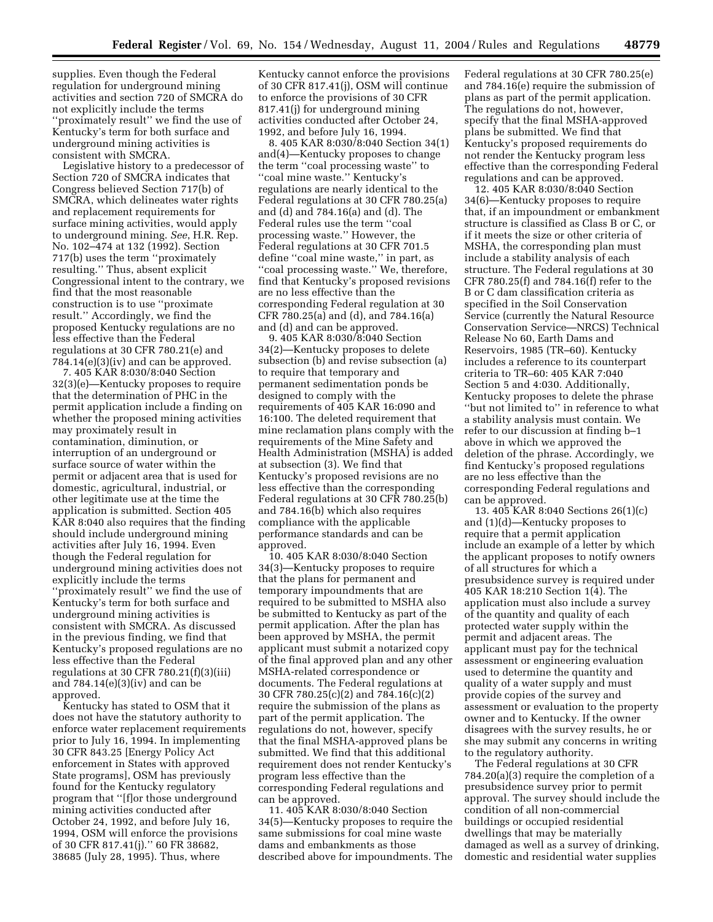supplies. Even though the Federal regulation for underground mining activities and section 720 of SMCRA do not explicitly include the terms ''proximately result'' we find the use of Kentucky's term for both surface and underground mining activities is consistent with SMCRA.

Legislative history to a predecessor of Section 720 of SMCRA indicates that Congress believed Section 717(b) of SMCRA, which delineates water rights and replacement requirements for surface mining activities, would apply to underground mining. *See*, H.R. Rep. No. 102–474 at 132 (1992). Section 717(b) uses the term ''proximately resulting.'' Thus, absent explicit Congressional intent to the contrary, we find that the most reasonable construction is to use ''proximate result.'' Accordingly, we find the proposed Kentucky regulations are no less effective than the Federal regulations at 30 CFR 780.21(e) and  $784.14(e)(3)(iv)$  and can be approved.

7. 405 KAR 8:030/8:040 Section 32(3)(e)—Kentucky proposes to require that the determination of PHC in the permit application include a finding on whether the proposed mining activities may proximately result in contamination, diminution, or interruption of an underground or surface source of water within the permit or adjacent area that is used for domestic, agricultural, industrial, or other legitimate use at the time the application is submitted. Section 405 KAR 8:040 also requires that the finding should include underground mining activities after July 16, 1994. Even though the Federal regulation for underground mining activities does not explicitly include the terms ''proximately result'' we find the use of Kentucky's term for both surface and underground mining activities is consistent with SMCRA. As discussed in the previous finding, we find that Kentucky's proposed regulations are no less effective than the Federal regulations at 30 CFR 780.21(f)(3)(iii) and 784.14(e)(3)(iv) and can be approved.

Kentucky has stated to OSM that it does not have the statutory authority to enforce water replacement requirements prior to July 16, 1994. In implementing 30 CFR 843.25 [Energy Policy Act enforcement in States with approved State programs], OSM has previously found for the Kentucky regulatory program that ''[f]or those underground mining activities conducted after October 24, 1992, and before July 16, 1994, OSM will enforce the provisions of 30 CFR 817.41(j).'' 60 FR 38682, 38685 (July 28, 1995). Thus, where

Kentucky cannot enforce the provisions of 30 CFR 817.41(j), OSM will continue to enforce the provisions of 30 CFR 817.41(j) for underground mining activities conducted after October 24, 1992, and before July 16, 1994.

8. 405 KAR 8:030/8:040 Section 34(1) and(4)—Kentucky proposes to change the term ''coal processing waste'' to ''coal mine waste.'' Kentucky's regulations are nearly identical to the Federal regulations at 30 CFR 780.25(a) and (d) and 784.16(a) and (d). The Federal rules use the term ''coal processing waste.'' However, the Federal regulations at 30 CFR 701.5 define ''coal mine waste,'' in part, as ''coal processing waste.'' We, therefore, find that Kentucky's proposed revisions are no less effective than the corresponding Federal regulation at 30 CFR 780.25(a) and (d), and 784.16(a) and (d) and can be approved.

9. 405 KAR 8:030/8:040 Section 34(2)—Kentucky proposes to delete subsection (b) and revise subsection (a) to require that temporary and permanent sedimentation ponds be designed to comply with the requirements of 405 KAR 16:090 and 16:100. The deleted requirement that mine reclamation plans comply with the requirements of the Mine Safety and Health Administration (MSHA) is added at subsection (3). We find that Kentucky's proposed revisions are no less effective than the corresponding Federal regulations at 30 CFR 780.25(b) and 784.16(b) which also requires compliance with the applicable performance standards and can be approved.

10. 405 KAR 8:030/8:040 Section 34(3)—Kentucky proposes to require that the plans for permanent and temporary impoundments that are required to be submitted to MSHA also be submitted to Kentucky as part of the permit application. After the plan has been approved by MSHA, the permit applicant must submit a notarized copy of the final approved plan and any other MSHA-related correspondence or documents. The Federal regulations at 30 CFR 780.25(c)(2) and 784.16(c)(2) require the submission of the plans as part of the permit application. The regulations do not, however, specify that the final MSHA-approved plans be submitted. We find that this additional requirement does not render Kentucky's program less effective than the corresponding Federal regulations and can be approved.

11. 405 KAR 8:030/8:040 Section 34(5)—Kentucky proposes to require the same submissions for coal mine waste dams and embankments as those described above for impoundments. The Federal regulations at 30 CFR 780.25(e) and 784.16(e) require the submission of plans as part of the permit application. The regulations do not, however, specify that the final MSHA-approved plans be submitted. We find that Kentucky's proposed requirements do not render the Kentucky program less effective than the corresponding Federal regulations and can be approved.

12. 405 KAR 8:030/8:040 Section 34(6)—Kentucky proposes to require that, if an impoundment or embankment structure is classified as Class B or C, or if it meets the size or other criteria of MSHA, the corresponding plan must include a stability analysis of each structure. The Federal regulations at 30 CFR 780.25(f) and 784.16(f) refer to the B or C dam classification criteria as specified in the Soil Conservation Service (currently the Natural Resource Conservation Service—NRCS) Technical Release No 60, Earth Dams and Reservoirs, 1985 (TR–60). Kentucky includes a reference to its counterpart criteria to TR–60: 405 KAR 7:040 Section 5 and 4:030. Additionally, Kentucky proposes to delete the phrase ''but not limited to'' in reference to what a stability analysis must contain. We refer to our discussion at finding b–1 above in which we approved the deletion of the phrase. Accordingly, we find Kentucky's proposed regulations are no less effective than the corresponding Federal regulations and can be approved.

13. 405 KAR 8:040 Sections 26(1)(c) and (1)(d)—Kentucky proposes to require that a permit application include an example of a letter by which the applicant proposes to notify owners of all structures for which a presubsidence survey is required under 405 KAR 18:210 Section 1(4). The application must also include a survey of the quantity and quality of each protected water supply within the permit and adjacent areas. The applicant must pay for the technical assessment or engineering evaluation used to determine the quantity and quality of a water supply and must provide copies of the survey and assessment or evaluation to the property owner and to Kentucky. If the owner disagrees with the survey results, he or she may submit any concerns in writing to the regulatory authority.

The Federal regulations at 30 CFR 784.20(a)(3) require the completion of a presubsidence survey prior to permit approval. The survey should include the condition of all non-commercial buildings or occupied residential dwellings that may be materially damaged as well as a survey of drinking, domestic and residential water supplies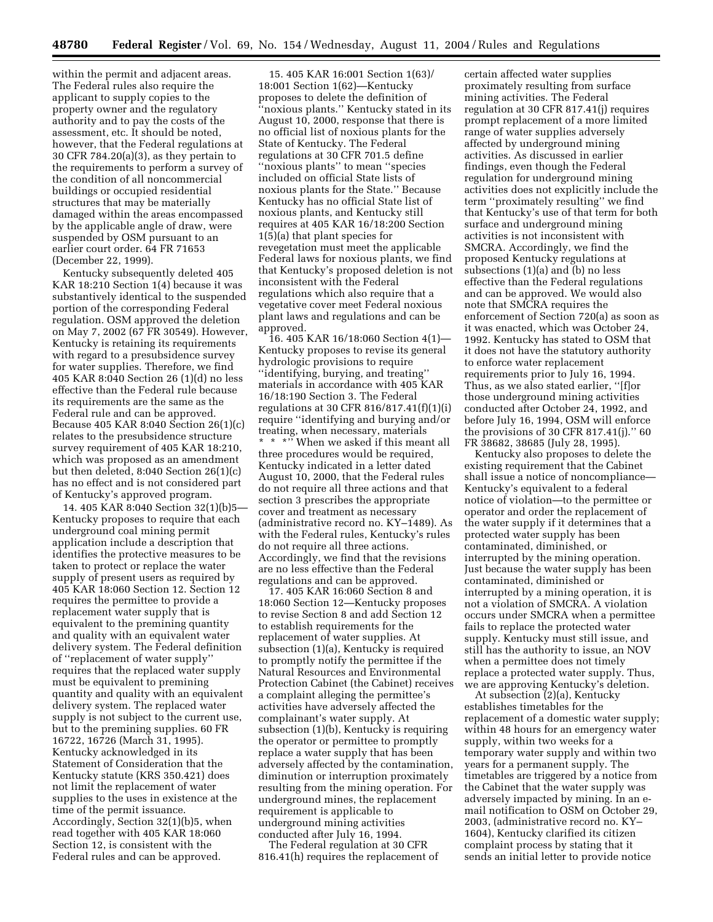within the permit and adjacent areas. The Federal rules also require the applicant to supply copies to the property owner and the regulatory authority and to pay the costs of the assessment, etc. It should be noted, however, that the Federal regulations at 30 CFR 784.20(a)(3), as they pertain to the requirements to perform a survey of the condition of all noncommercial buildings or occupied residential structures that may be materially damaged within the areas encompassed by the applicable angle of draw, were suspended by OSM pursuant to an earlier court order. 64 FR 71653 (December 22, 1999).

Kentucky subsequently deleted 405 KAR 18:210 Section 1(4) because it was substantively identical to the suspended portion of the corresponding Federal regulation. OSM approved the deletion on May 7, 2002 (67 FR 30549). However, Kentucky is retaining its requirements with regard to a presubsidence survey for water supplies. Therefore, we find 405 KAR 8:040 Section 26 (1)(d) no less effective than the Federal rule because its requirements are the same as the Federal rule and can be approved. Because 405 KAR 8:040 Section 26(1)(c) relates to the presubsidence structure survey requirement of 405 KAR 18:210, which was proposed as an amendment but then deleted, 8:040 Section 26(1)(c) has no effect and is not considered part of Kentucky's approved program.

14. 405 KAR 8:040 Section 32(1)(b)5— Kentucky proposes to require that each underground coal mining permit application include a description that identifies the protective measures to be taken to protect or replace the water supply of present users as required by 405 KAR 18:060 Section 12. Section 12 requires the permittee to provide a replacement water supply that is equivalent to the premining quantity and quality with an equivalent water delivery system. The Federal definition of ''replacement of water supply'' requires that the replaced water supply must be equivalent to premining quantity and quality with an equivalent delivery system. The replaced water supply is not subject to the current use, but to the premining supplies. 60 FR 16722, 16726 (March 31, 1995). Kentucky acknowledged in its Statement of Consideration that the Kentucky statute (KRS 350.421) does not limit the replacement of water supplies to the uses in existence at the time of the permit issuance. Accordingly, Section 32(1)(b)5, when read together with 405 KAR 18:060 Section 12, is consistent with the Federal rules and can be approved.

15. 405 KAR 16:001 Section 1(63)/ 18:001 Section 1(62)—Kentucky proposes to delete the definition of 'noxious plants." Kentucky stated in its August 10, 2000, response that there is no official list of noxious plants for the State of Kentucky. The Federal regulations at 30 CFR 701.5 define ''noxious plants'' to mean ''species included on official State lists of noxious plants for the State.'' Because Kentucky has no official State list of noxious plants, and Kentucky still requires at 405 KAR 16/18:200 Section 1(5)(a) that plant species for revegetation must meet the applicable Federal laws for noxious plants, we find that Kentucky's proposed deletion is not inconsistent with the Federal regulations which also require that a vegetative cover meet Federal noxious plant laws and regulations and can be approved.

16. 405 KAR 16/18:060 Section 4(1)— Kentucky proposes to revise its general hydrologic provisions to require ''identifying, burying, and treating'' materials in accordance with 405 KAR 16/18:190 Section 3. The Federal regulations at 30 CFR 816/817.41(f)(1)(i) require ''identifying and burying and/or treating, when necessary, materials \* \*" When we asked if this meant all three procedures would be required, Kentucky indicated in a letter dated August 10, 2000, that the Federal rules do not require all three actions and that section 3 prescribes the appropriate cover and treatment as necessary (administrative record no. KY–1489). As with the Federal rules, Kentucky's rules do not require all three actions. Accordingly, we find that the revisions are no less effective than the Federal regulations and can be approved.

17. 405 KAR 16:060 Section 8 and 18:060 Section 12—Kentucky proposes to revise Section 8 and add Section 12 to establish requirements for the replacement of water supplies. At subsection (1)(a), Kentucky is required to promptly notify the permittee if the Natural Resources and Environmental Protection Cabinet (the Cabinet) receives a complaint alleging the permittee's activities have adversely affected the complainant's water supply. At subsection (1)(b), Kentucky is requiring the operator or permittee to promptly replace a water supply that has been adversely affected by the contamination, diminution or interruption proximately resulting from the mining operation. For underground mines, the replacement requirement is applicable to underground mining activities conducted after July 16, 1994.

The Federal regulation at 30 CFR 816.41(h) requires the replacement of

certain affected water supplies proximately resulting from surface mining activities. The Federal regulation at 30 CFR 817.41(j) requires prompt replacement of a more limited range of water supplies adversely affected by underground mining activities. As discussed in earlier findings, even though the Federal regulation for underground mining activities does not explicitly include the term ''proximately resulting'' we find that Kentucky's use of that term for both surface and underground mining activities is not inconsistent with SMCRA. Accordingly, we find the proposed Kentucky regulations at subsections (1)(a) and (b) no less effective than the Federal regulations and can be approved. We would also note that SMCRA requires the enforcement of Section 720(a) as soon as it was enacted, which was October 24, 1992. Kentucky has stated to OSM that it does not have the statutory authority to enforce water replacement requirements prior to July 16, 1994. Thus, as we also stated earlier, ''[f]or those underground mining activities conducted after October 24, 1992, and before July 16, 1994, OSM will enforce the provisions of 30 CFR 817.41(j).'' 60 FR 38682, 38685 (July 28, 1995).

Kentucky also proposes to delete the existing requirement that the Cabinet shall issue a notice of noncompliance— Kentucky's equivalent to a federal notice of violation—to the permittee or operator and order the replacement of the water supply if it determines that a protected water supply has been contaminated, diminished, or interrupted by the mining operation. Just because the water supply has been contaminated, diminished or interrupted by a mining operation, it is not a violation of SMCRA. A violation occurs under SMCRA when a permittee fails to replace the protected water supply. Kentucky must still issue, and still has the authority to issue, an NOV when a permittee does not timely replace a protected water supply. Thus, we are approving Kentucky's deletion.

At subsection (2)(a), Kentucky establishes timetables for the replacement of a domestic water supply; within 48 hours for an emergency water supply, within two weeks for a temporary water supply and within two years for a permanent supply. The timetables are triggered by a notice from the Cabinet that the water supply was adversely impacted by mining. In an email notification to OSM on October 29, 2003, (administrative record no. KY– 1604), Kentucky clarified its citizen complaint process by stating that it sends an initial letter to provide notice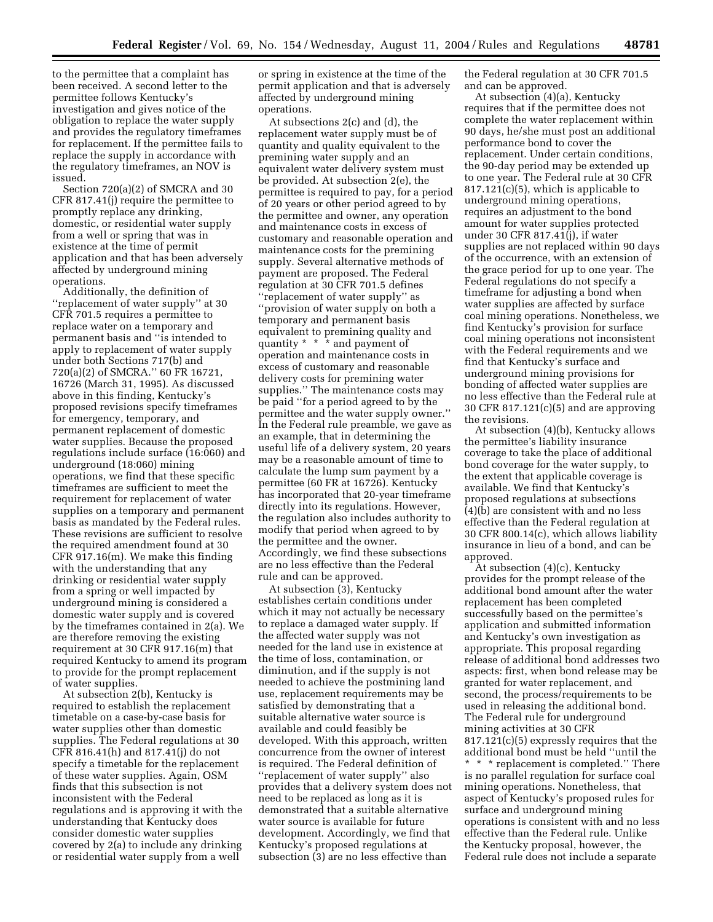to the permittee that a complaint has been received. A second letter to the permittee follows Kentucky's investigation and gives notice of the obligation to replace the water supply and provides the regulatory timeframes for replacement. If the permittee fails to replace the supply in accordance with the regulatory timeframes, an NOV is issued.

Section 720(a)(2) of SMCRA and 30 CFR 817.41(j) require the permittee to promptly replace any drinking, domestic, or residential water supply from a well or spring that was in existence at the time of permit application and that has been adversely affected by underground mining operations.

Additionally, the definition of ''replacement of water supply'' at 30 CFR 701.5 requires a permittee to replace water on a temporary and permanent basis and ''is intended to apply to replacement of water supply under both Sections 717(b) and 720(a)(2) of SMCRA.'' 60 FR 16721, 16726 (March 31, 1995). As discussed above in this finding, Kentucky's proposed revisions specify timeframes for emergency, temporary, and permanent replacement of domestic water supplies. Because the proposed regulations include surface (16:060) and underground (18:060) mining operations, we find that these specific timeframes are sufficient to meet the requirement for replacement of water supplies on a temporary and permanent basis as mandated by the Federal rules. These revisions are sufficient to resolve the required amendment found at 30 CFR 917.16(m). We make this finding with the understanding that any drinking or residential water supply from a spring or well impacted by underground mining is considered a domestic water supply and is covered by the timeframes contained in 2(a). We are therefore removing the existing requirement at 30 CFR 917.16(m) that required Kentucky to amend its program to provide for the prompt replacement of water supplies.

At subsection 2(b), Kentucky is required to establish the replacement timetable on a case-by-case basis for water supplies other than domestic supplies. The Federal regulations at 30 CFR 816.41(h) and 817.41(j) do not specify a timetable for the replacement of these water supplies. Again, OSM finds that this subsection is not inconsistent with the Federal regulations and is approving it with the understanding that Kentucky does consider domestic water supplies covered by 2(a) to include any drinking or residential water supply from a well

or spring in existence at the time of the permit application and that is adversely affected by underground mining operations.

At subsections 2(c) and (d), the replacement water supply must be of quantity and quality equivalent to the premining water supply and an equivalent water delivery system must be provided. At subsection 2(e), the permittee is required to pay, for a period of 20 years or other period agreed to by the permittee and owner, any operation and maintenance costs in excess of customary and reasonable operation and maintenance costs for the premining supply. Several alternative methods of payment are proposed. The Federal regulation at 30 CFR 701.5 defines ''replacement of water supply'' as ''provision of water supply on both a temporary and permanent basis equivalent to premining quality and quantity \* \* \* and payment of operation and maintenance costs in excess of customary and reasonable delivery costs for premining water supplies.'' The maintenance costs may be paid ''for a period agreed to by the permittee and the water supply owner.'' In the Federal rule preamble, we gave as an example, that in determining the useful life of a delivery system, 20 years may be a reasonable amount of time to calculate the lump sum payment by a permittee (60 FR at 16726). Kentucky has incorporated that 20-year timeframe directly into its regulations. However, the regulation also includes authority to modify that period when agreed to by the permittee and the owner. Accordingly, we find these subsections are no less effective than the Federal rule and can be approved.

At subsection (3), Kentucky establishes certain conditions under which it may not actually be necessary to replace a damaged water supply. If the affected water supply was not needed for the land use in existence at the time of loss, contamination, or diminution, and if the supply is not needed to achieve the postmining land use, replacement requirements may be satisfied by demonstrating that a suitable alternative water source is available and could feasibly be developed. With this approach, written concurrence from the owner of interest is required. The Federal definition of ''replacement of water supply'' also provides that a delivery system does not need to be replaced as long as it is demonstrated that a suitable alternative water source is available for future development. Accordingly, we find that Kentucky's proposed regulations at subsection (3) are no less effective than

the Federal regulation at 30 CFR 701.5 and can be approved.

At subsection (4)(a), Kentucky requires that if the permittee does not complete the water replacement within 90 days, he/she must post an additional performance bond to cover the replacement. Under certain conditions, the 90-day period may be extended up to one year. The Federal rule at 30 CFR 817.121(c)(5), which is applicable to underground mining operations, requires an adjustment to the bond amount for water supplies protected under 30 CFR 817.41(j), if water supplies are not replaced within 90 days of the occurrence, with an extension of the grace period for up to one year. The Federal regulations do not specify a timeframe for adjusting a bond when water supplies are affected by surface coal mining operations. Nonetheless, we find Kentucky's provision for surface coal mining operations not inconsistent with the Federal requirements and we find that Kentucky's surface and underground mining provisions for bonding of affected water supplies are no less effective than the Federal rule at 30 CFR 817.121(c)(5) and are approving the revisions.

At subsection (4)(b), Kentucky allows the permittee's liability insurance coverage to take the place of additional bond coverage for the water supply, to the extent that applicable coverage is available. We find that Kentucky's proposed regulations at subsections (4)(b) are consistent with and no less effective than the Federal regulation at 30 CFR 800.14(c), which allows liability insurance in lieu of a bond, and can be approved.

At subsection (4)(c), Kentucky provides for the prompt release of the additional bond amount after the water replacement has been completed successfully based on the permittee's application and submitted information and Kentucky's own investigation as appropriate. This proposal regarding release of additional bond addresses two aspects: first, when bond release may be granted for water replacement, and second, the process/requirements to be used in releasing the additional bond. The Federal rule for underground mining activities at 30 CFR 817.121(c)(5) expressly requires that the additional bond must be held ''until the \* \* \* replacement is completed.'' There is no parallel regulation for surface coal mining operations. Nonetheless, that aspect of Kentucky's proposed rules for surface and underground mining operations is consistent with and no less effective than the Federal rule. Unlike the Kentucky proposal, however, the Federal rule does not include a separate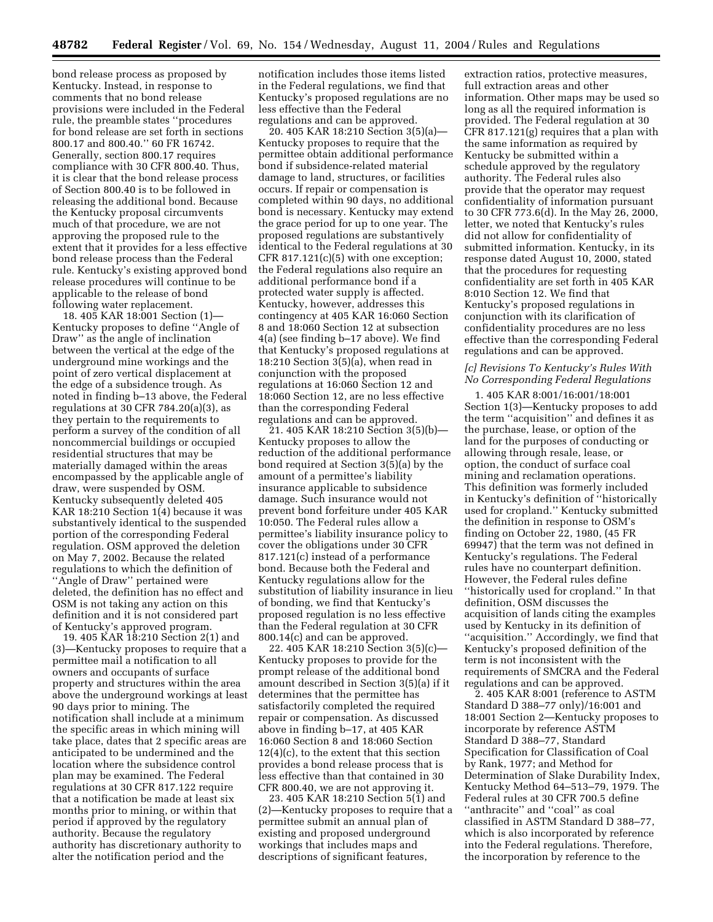bond release process as proposed by Kentucky. Instead, in response to comments that no bond release provisions were included in the Federal rule, the preamble states ''procedures for bond release are set forth in sections 800.17 and 800.40.'' 60 FR 16742. Generally, section 800.17 requires compliance with 30 CFR 800.40. Thus, it is clear that the bond release process of Section 800.40 is to be followed in releasing the additional bond. Because the Kentucky proposal circumvents much of that procedure, we are not approving the proposed rule to the extent that it provides for a less effective bond release process than the Federal rule. Kentucky's existing approved bond release procedures will continue to be applicable to the release of bond following water replacement.

18. 405 KAR 18:001 Section (1)— Kentucky proposes to define ''Angle of Draw'' as the angle of inclination between the vertical at the edge of the underground mine workings and the point of zero vertical displacement at the edge of a subsidence trough. As noted in finding b–13 above, the Federal regulations at 30 CFR 784.20(a)(3), as they pertain to the requirements to perform a survey of the condition of all noncommercial buildings or occupied residential structures that may be materially damaged within the areas encompassed by the applicable angle of draw, were suspended by OSM. Kentucky subsequently deleted 405 KAR 18:210 Section 1(4) because it was substantively identical to the suspended portion of the corresponding Federal regulation. OSM approved the deletion on May 7, 2002. Because the related regulations to which the definition of ''Angle of Draw'' pertained were deleted, the definition has no effect and OSM is not taking any action on this definition and it is not considered part of Kentucky's approved program.

19. 405 KAR 18:210 Section 2(1) and (3)—Kentucky proposes to require that a permittee mail a notification to all owners and occupants of surface property and structures within the area above the underground workings at least 90 days prior to mining. The notification shall include at a minimum the specific areas in which mining will take place, dates that 2 specific areas are anticipated to be undermined and the location where the subsidence control plan may be examined. The Federal regulations at 30 CFR 817.122 require that a notification be made at least six months prior to mining, or within that period if approved by the regulatory authority. Because the regulatory authority has discretionary authority to alter the notification period and the

notification includes those items listed in the Federal regulations, we find that Kentucky's proposed regulations are no less effective than the Federal regulations and can be approved.

20. 405 KAR 18:210 Section 3(5)(a)— Kentucky proposes to require that the permittee obtain additional performance bond if subsidence-related material damage to land, structures, or facilities occurs. If repair or compensation is completed within 90 days, no additional bond is necessary. Kentucky may extend the grace period for up to one year. The proposed regulations are substantively identical to the Federal regulations at 30 CFR 817.121(c)(5) with one exception; the Federal regulations also require an additional performance bond if a protected water supply is affected. Kentucky, however, addresses this contingency at 405 KAR 16:060 Section 8 and 18:060 Section 12 at subsection 4(a) (see finding b–17 above). We find that Kentucky's proposed regulations at 18:210 Section 3(5)(a), when read in conjunction with the proposed regulations at 16:060 Section 12 and 18:060 Section 12, are no less effective than the corresponding Federal regulations and can be approved.

21. 405 KAR 18:210 Section 3(5)(b)— Kentucky proposes to allow the reduction of the additional performance bond required at Section 3(5)(a) by the amount of a permittee's liability insurance applicable to subsidence damage. Such insurance would not prevent bond forfeiture under 405 KAR 10:050. The Federal rules allow a permittee's liability insurance policy to cover the obligations under 30 CFR 817.121(c) instead of a performance bond. Because both the Federal and Kentucky regulations allow for the substitution of liability insurance in lieu of bonding, we find that Kentucky's proposed regulation is no less effective than the Federal regulation at 30 CFR 800.14(c) and can be approved.

22. 405 KAR 18:210 Section 3(5)(c)— Kentucky proposes to provide for the prompt release of the additional bond amount described in Section 3(5)(a) if it determines that the permittee has satisfactorily completed the required repair or compensation. As discussed above in finding b–17, at 405 KAR 16:060 Section 8 and 18:060 Section 12(4)(c), to the extent that this section provides a bond release process that is less effective than that contained in 30 CFR 800.40, we are not approving it.

23. 405 KAR 18:210 Section 5(1) and (2)—Kentucky proposes to require that a permittee submit an annual plan of existing and proposed underground workings that includes maps and descriptions of significant features,

extraction ratios, protective measures, full extraction areas and other information. Other maps may be used so long as all the required information is provided. The Federal regulation at 30 CFR 817.121(g) requires that a plan with the same information as required by Kentucky be submitted within a schedule approved by the regulatory authority. The Federal rules also provide that the operator may request confidentiality of information pursuant to 30 CFR 773.6(d). In the May 26, 2000, letter, we noted that Kentucky's rules did not allow for confidentiality of submitted information. Kentucky, in its response dated August 10, 2000, stated that the procedures for requesting confidentiality are set forth in 405 KAR 8:010 Section 12. We find that Kentucky's proposed regulations in conjunction with its clarification of confidentiality procedures are no less effective than the corresponding Federal regulations and can be approved.

### *[c] Revisions To Kentucky's Rules With No Corresponding Federal Regulations*

1. 405 KAR 8:001/16:001/18:001 Section 1(3)—Kentucky proposes to add the term ''acquisition'' and defines it as the purchase, lease, or option of the land for the purposes of conducting or allowing through resale, lease, or option, the conduct of surface coal mining and reclamation operations. This definition was formerly included in Kentucky's definition of ''historically used for cropland.'' Kentucky submitted the definition in response to OSM's finding on October 22, 1980, (45 FR 69947) that the term was not defined in Kentucky's regulations. The Federal rules have no counterpart definition. However, the Federal rules define ''historically used for cropland.'' In that definition, OSM discusses the acquisition of lands citing the examples used by Kentucky in its definition of ''acquisition.'' Accordingly, we find that Kentucky's proposed definition of the term is not inconsistent with the requirements of SMCRA and the Federal regulations and can be approved.

2. 405 KAR 8:001 (reference to ASTM Standard D 388–77 only)/16:001 and 18:001 Section 2—Kentucky proposes to incorporate by reference ASTM Standard D 388–77, Standard Specification for Classification of Coal by Rank, 1977; and Method for Determination of Slake Durability Index, Kentucky Method 64–513–79, 1979. The Federal rules at 30 CFR 700.5 define ''anthracite'' and ''coal'' as coal classified in ASTM Standard D 388–77, which is also incorporated by reference into the Federal regulations. Therefore, the incorporation by reference to the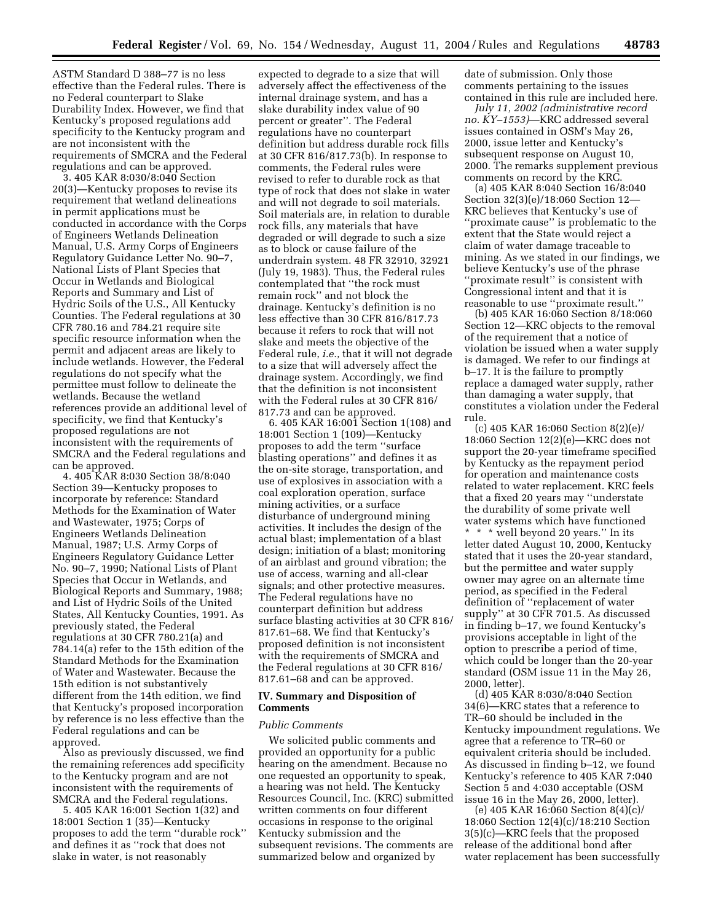ASTM Standard D 388–77 is no less effective than the Federal rules. There is no Federal counterpart to Slake Durability Index. However, we find that Kentucky's proposed regulations add specificity to the Kentucky program and are not inconsistent with the requirements of SMCRA and the Federal regulations and can be approved.

3. 405 KAR 8:030/8:040 Section 20(3)—Kentucky proposes to revise its requirement that wetland delineations in permit applications must be conducted in accordance with the Corps of Engineers Wetlands Delineation Manual, U.S. Army Corps of Engineers Regulatory Guidance Letter No. 90–7, National Lists of Plant Species that Occur in Wetlands and Biological Reports and Summary and List of Hydric Soils of the U.S., All Kentucky Counties. The Federal regulations at 30 CFR 780.16 and 784.21 require site specific resource information when the permit and adjacent areas are likely to include wetlands. However, the Federal regulations do not specify what the permittee must follow to delineate the wetlands. Because the wetland references provide an additional level of specificity, we find that Kentucky's proposed regulations are not inconsistent with the requirements of SMCRA and the Federal regulations and can be approved.

4. 405 KAR 8:030 Section 38/8:040 Section 39—Kentucky proposes to incorporate by reference: Standard Methods for the Examination of Water and Wastewater, 1975; Corps of Engineers Wetlands Delineation Manual, 1987; U.S. Army Corps of Engineers Regulatory Guidance Letter No. 90–7, 1990; National Lists of Plant Species that Occur in Wetlands, and Biological Reports and Summary, 1988; and List of Hydric Soils of the United States, All Kentucky Counties, 1991. As previously stated, the Federal regulations at 30 CFR 780.21(a) and 784.14(a) refer to the 15th edition of the Standard Methods for the Examination of Water and Wastewater. Because the 15th edition is not substantively different from the 14th edition, we find that Kentucky's proposed incorporation by reference is no less effective than the Federal regulations and can be approved.

Also as previously discussed, we find the remaining references add specificity to the Kentucky program and are not inconsistent with the requirements of SMCRA and the Federal regulations.

5. 405 KAR 16:001 Section 1(32) and 18:001 Section 1 (35)—Kentucky proposes to add the term ''durable rock'' and defines it as ''rock that does not slake in water, is not reasonably

expected to degrade to a size that will adversely affect the effectiveness of the internal drainage system, and has a slake durability index value of 90 percent or greater''. The Federal regulations have no counterpart definition but address durable rock fills at 30 CFR 816/817.73(b). In response to comments, the Federal rules were revised to refer to durable rock as that type of rock that does not slake in water and will not degrade to soil materials. Soil materials are, in relation to durable rock fills, any materials that have degraded or will degrade to such a size as to block or cause failure of the underdrain system. 48 FR 32910, 32921 (July 19, 1983). Thus, the Federal rules contemplated that ''the rock must remain rock'' and not block the drainage. Kentucky's definition is no less effective than 30 CFR 816/817.73 because it refers to rock that will not slake and meets the objective of the Federal rule, *i.e.,* that it will not degrade to a size that will adversely affect the drainage system. Accordingly, we find that the definition is not inconsistent with the Federal rules at 30 CFR 816/ 817.73 and can be approved.

6. 405 KAR 16:001 Section 1(108) and 18:001 Section 1 (109)—Kentucky proposes to add the term ''surface blasting operations'' and defines it as the on-site storage, transportation, and use of explosives in association with a coal exploration operation, surface mining activities, or a surface disturbance of underground mining activities. It includes the design of the actual blast; implementation of a blast design; initiation of a blast; monitoring of an airblast and ground vibration; the use of access, warning and all-clear signals; and other protective measures. The Federal regulations have no counterpart definition but address surface blasting activities at 30 CFR 816/ 817.61–68. We find that Kentucky's proposed definition is not inconsistent with the requirements of SMCRA and the Federal regulations at 30 CFR 816/ 817.61–68 and can be approved.

## **IV. Summary and Disposition of Comments**

#### *Public Comments*

We solicited public comments and provided an opportunity for a public hearing on the amendment. Because no one requested an opportunity to speak, a hearing was not held. The Kentucky Resources Council, Inc. (KRC) submitted written comments on four different occasions in response to the original Kentucky submission and the subsequent revisions. The comments are summarized below and organized by

date of submission. Only those comments pertaining to the issues contained in this rule are included here.

*July 11, 2002 (administrative record no. KY–1553)*—KRC addressed several issues contained in OSM's May 26, 2000, issue letter and Kentucky's subsequent response on August 10, 2000. The remarks supplement previous comments on record by the KRC.

(a) 405 KAR 8:040 Section 16/8:040 Section 32(3)(e)/18:060 Section 12— KRC believes that Kentucky's use of ''proximate cause'' is problematic to the extent that the State would reject a claim of water damage traceable to mining. As we stated in our findings, we believe Kentucky's use of the phrase ''proximate result'' is consistent with Congressional intent and that it is reasonable to use ''proximate result.''

(b) 405 KAR 16:060 Section 8/18:060 Section 12—KRC objects to the removal of the requirement that a notice of violation be issued when a water supply is damaged. We refer to our findings at b–17. It is the failure to promptly replace a damaged water supply, rather than damaging a water supply, that constitutes a violation under the Federal rule.

(c) 405 KAR 16:060 Section 8(2)(e)/ 18:060 Section 12(2)(e)—KRC does not support the 20-year timeframe specified by Kentucky as the repayment period for operation and maintenance costs related to water replacement. KRC feels that a fixed 20 years may ''understate the durability of some private well water systems which have functioned \* \* \* well beyond 20 years.'' In its letter dated August 10, 2000, Kentucky stated that it uses the 20-year standard, but the permittee and water supply owner may agree on an alternate time period, as specified in the Federal definition of ''replacement of water supply'' at 30 CFR 701.5. As discussed in finding b–17, we found Kentucky's provisions acceptable in light of the option to prescribe a period of time, which could be longer than the 20-year standard (OSM issue 11 in the May 26, 2000, letter).

(d) 405 KAR 8:030/8:040 Section 34(6)—KRC states that a reference to TR–60 should be included in the Kentucky impoundment regulations. We agree that a reference to TR–60 or equivalent criteria should be included. As discussed in finding b–12, we found Kentucky's reference to 405 KAR 7:040 Section 5 and 4:030 acceptable (OSM issue 16 in the May 26, 2000, letter).

(e) 405 KAR 16:060 Section 8(4)(c)/ 18:060 Section 12(4)(c)/18:210 Section 3(5)(c)—KRC feels that the proposed release of the additional bond after water replacement has been successfully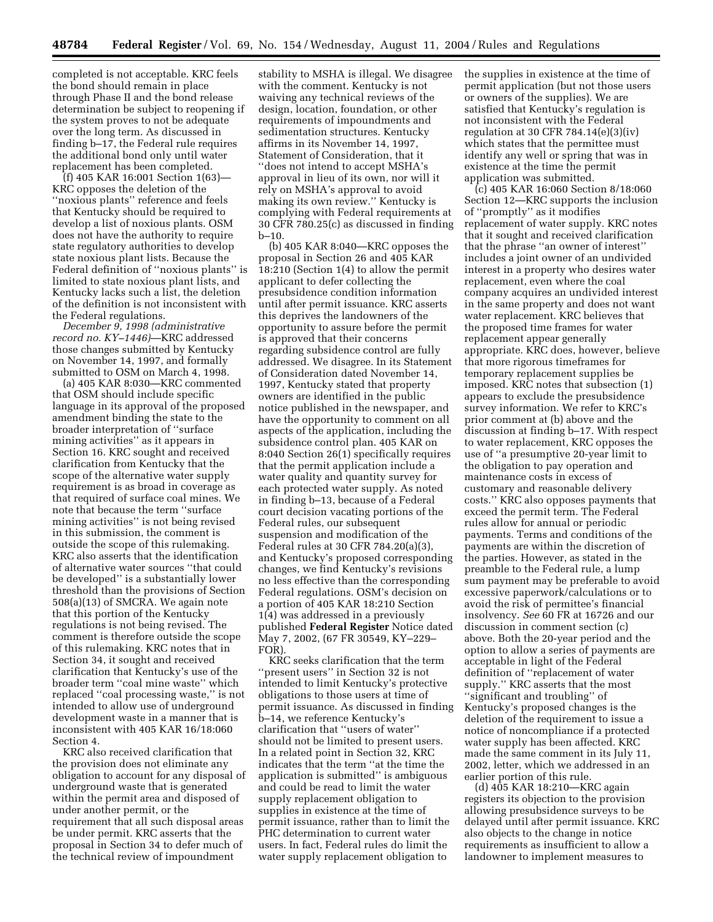completed is not acceptable. KRC feels the bond should remain in place through Phase II and the bond release determination be subject to reopening if the system proves to not be adequate over the long term. As discussed in finding b–17, the Federal rule requires the additional bond only until water replacement has been completed.

(f) 405 KAR 16:001 Section 1(63)— KRC opposes the deletion of the ''noxious plants'' reference and feels that Kentucky should be required to develop a list of noxious plants. OSM does not have the authority to require state regulatory authorities to develop state noxious plant lists. Because the Federal definition of ''noxious plants'' is limited to state noxious plant lists, and Kentucky lacks such a list, the deletion of the definition is not inconsistent with the Federal regulations.

*December 9, 1998 (administrative record no. KY–1446)*—KRC addressed those changes submitted by Kentucky on November 14, 1997, and formally submitted to OSM on March 4, 1998.

(a) 405 KAR 8:030—KRC commented that OSM should include specific language in its approval of the proposed amendment binding the state to the broader interpretation of ''surface mining activities'' as it appears in Section 16. KRC sought and received clarification from Kentucky that the scope of the alternative water supply requirement is as broad in coverage as that required of surface coal mines. We note that because the term ''surface mining activities'' is not being revised in this submission, the comment is outside the scope of this rulemaking. KRC also asserts that the identification of alternative water sources ''that could be developed'' is a substantially lower threshold than the provisions of Section 508(a)(13) of SMCRA. We again note that this portion of the Kentucky regulations is not being revised. The comment is therefore outside the scope of this rulemaking. KRC notes that in Section 34, it sought and received clarification that Kentucky's use of the broader term ''coal mine waste'' which replaced ''coal processing waste,'' is not intended to allow use of underground development waste in a manner that is inconsistent with 405 KAR 16/18:060 Section 4.

KRC also received clarification that the provision does not eliminate any obligation to account for any disposal of underground waste that is generated within the permit area and disposed of under another permit, or the requirement that all such disposal areas be under permit. KRC asserts that the proposal in Section 34 to defer much of the technical review of impoundment

stability to MSHA is illegal. We disagree with the comment. Kentucky is not waiving any technical reviews of the design, location, foundation, or other requirements of impoundments and sedimentation structures. Kentucky affirms in its November 14, 1997, Statement of Consideration, that it ''does not intend to accept MSHA's approval in lieu of its own, nor will it rely on MSHA's approval to avoid making its own review.'' Kentucky is complying with Federal requirements at 30 CFR 780.25(c) as discussed in finding b–10.

(b) 405 KAR 8:040—KRC opposes the proposal in Section 26 and 405 KAR 18:210 (Section 1(4) to allow the permit applicant to defer collecting the presubsidence condition information until after permit issuance. KRC asserts this deprives the landowners of the opportunity to assure before the permit is approved that their concerns regarding subsidence control are fully addressed. We disagree. In its Statement of Consideration dated November 14, 1997, Kentucky stated that property owners are identified in the public notice published in the newspaper, and have the opportunity to comment on all aspects of the application, including the subsidence control plan. 405 KAR on 8:040 Section 26(1) specifically requires that the permit application include a water quality and quantity survey for each protected water supply. As noted in finding b–13, because of a Federal court decision vacating portions of the Federal rules, our subsequent suspension and modification of the Federal rules at 30 CFR 784.20(a)(3), and Kentucky's proposed corresponding changes, we find Kentucky's revisions no less effective than the corresponding Federal regulations. OSM's decision on a portion of 405 KAR 18:210 Section 1(4) was addressed in a previously published **Federal Register** Notice dated May 7, 2002, (67 FR 30549, KY–229– FOR).

KRC seeks clarification that the term ''present users'' in Section 32 is not intended to limit Kentucky's protective obligations to those users at time of permit issuance. As discussed in finding b–14, we reference Kentucky's clarification that ''users of water'' should not be limited to present users. In a related point in Section 32, KRC indicates that the term ''at the time the application is submitted'' is ambiguous and could be read to limit the water supply replacement obligation to supplies in existence at the time of permit issuance, rather than to limit the PHC determination to current water users. In fact, Federal rules do limit the water supply replacement obligation to

the supplies in existence at the time of permit application (but not those users or owners of the supplies). We are satisfied that Kentucky's regulation is not inconsistent with the Federal regulation at 30 CFR 784.14 $(e)(3)(iv)$ which states that the permittee must identify any well or spring that was in existence at the time the permit application was submitted.

(c) 405 KAR 16:060 Section 8/18:060 Section 12—KRC supports the inclusion of ''promptly'' as it modifies replacement of water supply. KRC notes that it sought and received clarification that the phrase ''an owner of interest'' includes a joint owner of an undivided interest in a property who desires water replacement, even where the coal company acquires an undivided interest in the same property and does not want water replacement. KRC believes that the proposed time frames for water replacement appear generally appropriate. KRC does, however, believe that more rigorous timeframes for temporary replacement supplies be imposed. KRC notes that subsection (1) appears to exclude the presubsidence survey information. We refer to KRC's prior comment at (b) above and the discussion at finding b–17. With respect to water replacement, KRC opposes the use of ''a presumptive 20-year limit to the obligation to pay operation and maintenance costs in excess of customary and reasonable delivery costs.'' KRC also opposes payments that exceed the permit term. The Federal rules allow for annual or periodic payments. Terms and conditions of the payments are within the discretion of the parties. However, as stated in the preamble to the Federal rule, a lump sum payment may be preferable to avoid excessive paperwork/calculations or to avoid the risk of permittee's financial insolvency. *See* 60 FR at 16726 and our discussion in comment section (c) above. Both the 20-year period and the option to allow a series of payments are acceptable in light of the Federal definition of ''replacement of water supply.'' KRC asserts that the most ''significant and troubling'' of Kentucky's proposed changes is the deletion of the requirement to issue a notice of noncompliance if a protected water supply has been affected. KRC made the same comment in its July 11, 2002, letter, which we addressed in an earlier portion of this rule.

(d) 405 KAR 18:210—KRC again registers its objection to the provision allowing presubsidence surveys to be delayed until after permit issuance. KRC also objects to the change in notice requirements as insufficient to allow a landowner to implement measures to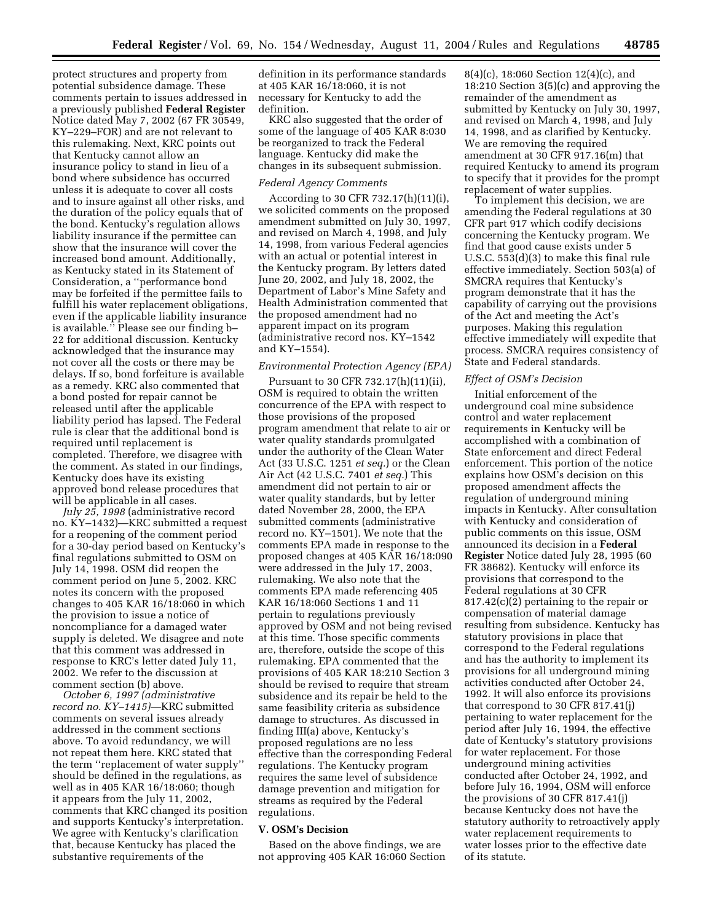protect structures and property from potential subsidence damage. These comments pertain to issues addressed in a previously published **Federal Register** Notice dated May 7, 2002 (67 FR 30549, KY–229–FOR) and are not relevant to this rulemaking. Next, KRC points out that Kentucky cannot allow an insurance policy to stand in lieu of a bond where subsidence has occurred unless it is adequate to cover all costs and to insure against all other risks, and the duration of the policy equals that of the bond. Kentucky's regulation allows liability insurance if the permittee can show that the insurance will cover the increased bond amount. Additionally, as Kentucky stated in its Statement of Consideration, a ''performance bond may be forfeited if the permittee fails to fulfill his water replacement obligations, even if the applicable liability insurance is available.'' Please see our finding b– 22 for additional discussion. Kentucky acknowledged that the insurance may not cover all the costs or there may be delays. If so, bond forfeiture is available as a remedy. KRC also commented that a bond posted for repair cannot be released until after the applicable liability period has lapsed. The Federal rule is clear that the additional bond is required until replacement is completed. Therefore, we disagree with the comment. As stated in our findings, Kentucky does have its existing approved bond release procedures that will be applicable in all cases.

*July 25, 1998* (administrative record no. KY–1432)—KRC submitted a request for a reopening of the comment period for a 30-day period based on Kentucky's final regulations submitted to OSM on July 14, 1998. OSM did reopen the comment period on June 5, 2002. KRC notes its concern with the proposed changes to 405 KAR 16/18:060 in which the provision to issue a notice of noncompliance for a damaged water supply is deleted. We disagree and note that this comment was addressed in response to KRC's letter dated July 11, 2002. We refer to the discussion at comment section (b) above.

*October 6, 1997 (administrative record no. KY–1415)*—KRC submitted comments on several issues already addressed in the comment sections above. To avoid redundancy, we will not repeat them here. KRC stated that the term ''replacement of water supply'' should be defined in the regulations, as well as in 405 KAR 16/18:060; though it appears from the July 11, 2002, comments that KRC changed its position and supports Kentucky's interpretation. We agree with Kentucky's clarification that, because Kentucky has placed the substantive requirements of the

definition in its performance standards at 405 KAR 16/18:060, it is not necessary for Kentucky to add the definition.

KRC also suggested that the order of some of the language of 405 KAR 8:030 be reorganized to track the Federal language. Kentucky did make the changes in its subsequent submission.

## *Federal Agency Comments*

According to 30 CFR 732.17(h)(11)(i), we solicited comments on the proposed amendment submitted on July 30, 1997, and revised on March 4, 1998, and July 14, 1998, from various Federal agencies with an actual or potential interest in the Kentucky program. By letters dated June 20, 2002, and July 18, 2002, the Department of Labor's Mine Safety and Health Administration commented that the proposed amendment had no apparent impact on its program (administrative record nos. KY–1542 and KY–1554).

#### *Environmental Protection Agency (EPA)*

Pursuant to 30 CFR 732.17(h)(11)(ii), OSM is required to obtain the written concurrence of the EPA with respect to those provisions of the proposed program amendment that relate to air or water quality standards promulgated under the authority of the Clean Water Act (33 U.S.C. 1251 *et seq.*) or the Clean Air Act (42 U.S.C. 7401 *et seq.*) This amendment did not pertain to air or water quality standards, but by letter dated November 28, 2000, the EPA submitted comments (administrative record no. KY–1501). We note that the comments EPA made in response to the proposed changes at 405 KAR 16/18:090 were addressed in the July 17, 2003, rulemaking. We also note that the comments EPA made referencing 405 KAR 16/18:060 Sections 1 and 11 pertain to regulations previously approved by OSM and not being revised at this time. Those specific comments are, therefore, outside the scope of this rulemaking. EPA commented that the provisions of 405 KAR 18:210 Section 3 should be revised to require that stream subsidence and its repair be held to the same feasibility criteria as subsidence damage to structures. As discussed in finding III(a) above, Kentucky's proposed regulations are no less effective than the corresponding Federal regulations. The Kentucky program requires the same level of subsidence damage prevention and mitigation for streams as required by the Federal regulations.

## **V. OSM's Decision**

Based on the above findings, we are not approving 405 KAR 16:060 Section 8(4)(c), 18:060 Section 12(4)(c), and 18:210 Section 3(5)(c) and approving the remainder of the amendment as submitted by Kentucky on July 30, 1997, and revised on March 4, 1998, and July 14, 1998, and as clarified by Kentucky. We are removing the required amendment at 30 CFR 917.16(m) that required Kentucky to amend its program to specify that it provides for the prompt replacement of water supplies.

To implement this decision, we are amending the Federal regulations at 30 CFR part 917 which codify decisions concerning the Kentucky program. We find that good cause exists under 5 U.S.C. 553(d)(3) to make this final rule effective immediately. Section 503(a) of SMCRA requires that Kentucky's program demonstrate that it has the capability of carrying out the provisions of the Act and meeting the Act's purposes. Making this regulation effective immediately will expedite that process. SMCRA requires consistency of State and Federal standards.

### *Effect of OSM's Decision*

Initial enforcement of the underground coal mine subsidence control and water replacement requirements in Kentucky will be accomplished with a combination of State enforcement and direct Federal enforcement. This portion of the notice explains how OSM's decision on this proposed amendment affects the regulation of underground mining impacts in Kentucky. After consultation with Kentucky and consideration of public comments on this issue, OSM announced its decision in a **Federal Register** Notice dated July 28, 1995 (60 FR 38682). Kentucky will enforce its provisions that correspond to the Federal regulations at 30 CFR 817.42(c)(2) pertaining to the repair or compensation of material damage resulting from subsidence. Kentucky has statutory provisions in place that correspond to the Federal regulations and has the authority to implement its provisions for all underground mining activities conducted after October 24, 1992. It will also enforce its provisions that correspond to 30 CFR 817.41(j) pertaining to water replacement for the period after July 16, 1994, the effective date of Kentucky's statutory provisions for water replacement. For those underground mining activities conducted after October 24, 1992, and before July 16, 1994, OSM will enforce the provisions of 30 CFR 817.41(j) because Kentucky does not have the statutory authority to retroactively apply water replacement requirements to water losses prior to the effective date of its statute.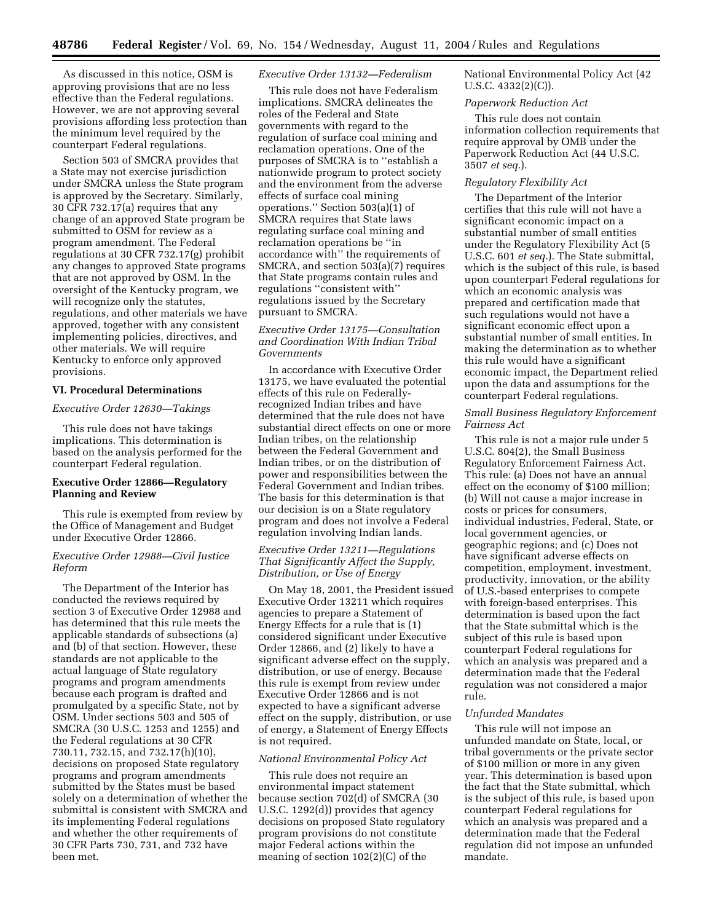As discussed in this notice, OSM is approving provisions that are no less effective than the Federal regulations. However, we are not approving several provisions affording less protection than the minimum level required by the counterpart Federal regulations.

Section 503 of SMCRA provides that a State may not exercise jurisdiction under SMCRA unless the State program is approved by the Secretary. Similarly, 30 CFR 732.17(a) requires that any change of an approved State program be submitted to OSM for review as a program amendment. The Federal regulations at 30 CFR 732.17(g) prohibit any changes to approved State programs that are not approved by OSM. In the oversight of the Kentucky program, we will recognize only the statutes, regulations, and other materials we have approved, together with any consistent implementing policies, directives, and other materials. We will require Kentucky to enforce only approved provisions.

#### **VI. Procedural Determinations**

# *Executive Order 12630—Takings*

This rule does not have takings implications. This determination is based on the analysis performed for the counterpart Federal regulation.

## **Executive Order 12866—Regulatory Planning and Review**

This rule is exempted from review by the Office of Management and Budget under Executive Order 12866.

# *Executive Order 12988—Civil Justice Reform*

The Department of the Interior has conducted the reviews required by section 3 of Executive Order 12988 and has determined that this rule meets the applicable standards of subsections (a) and (b) of that section. However, these standards are not applicable to the actual language of State regulatory programs and program amendments because each program is drafted and promulgated by a specific State, not by OSM. Under sections 503 and 505 of SMCRA (30 U.S.C. 1253 and 1255) and the Federal regulations at 30 CFR 730.11, 732.15, and 732.17(h)(10), decisions on proposed State regulatory programs and program amendments submitted by the States must be based solely on a determination of whether the submittal is consistent with SMCRA and its implementing Federal regulations and whether the other requirements of 30 CFR Parts 730, 731, and 732 have been met.

### *Executive Order 13132—Federalism*

This rule does not have Federalism implications. SMCRA delineates the roles of the Federal and State governments with regard to the regulation of surface coal mining and reclamation operations. One of the purposes of SMCRA is to ''establish a nationwide program to protect society and the environment from the adverse effects of surface coal mining operations.'' Section 503(a)(1) of SMCRA requires that State laws regulating surface coal mining and reclamation operations be ''in accordance with'' the requirements of SMCRA, and section 503(a)(7) requires that State programs contain rules and regulations ''consistent with'' regulations issued by the Secretary pursuant to SMCRA.

## *Executive Order 13175—Consultation and Coordination With Indian Tribal Governments*

In accordance with Executive Order 13175, we have evaluated the potential effects of this rule on Federallyrecognized Indian tribes and have determined that the rule does not have substantial direct effects on one or more Indian tribes, on the relationship between the Federal Government and Indian tribes, or on the distribution of power and responsibilities between the Federal Government and Indian tribes. The basis for this determination is that our decision is on a State regulatory program and does not involve a Federal regulation involving Indian lands.

## *Executive Order 13211—Regulations That Significantly Affect the Supply, Distribution, or Use of Energy*

On May 18, 2001, the President issued Executive Order 13211 which requires agencies to prepare a Statement of Energy Effects for a rule that is (1) considered significant under Executive Order 12866, and (2) likely to have a significant adverse effect on the supply, distribution, or use of energy. Because this rule is exempt from review under Executive Order 12866 and is not expected to have a significant adverse effect on the supply, distribution, or use of energy, a Statement of Energy Effects is not required.

#### *National Environmental Policy Act*

This rule does not require an environmental impact statement because section 702(d) of SMCRA (30 U.S.C. 1292(d)) provides that agency decisions on proposed State regulatory program provisions do not constitute major Federal actions within the meaning of section 102(2)(C) of the

National Environmental Policy Act (42 U.S.C. 4332(2)(C)).

### *Paperwork Reduction Act*

This rule does not contain information collection requirements that require approval by OMB under the Paperwork Reduction Act (44 U.S.C. 3507 *et seq.*).

#### *Regulatory Flexibility Act*

The Department of the Interior certifies that this rule will not have a significant economic impact on a substantial number of small entities under the Regulatory Flexibility Act (5 U.S.C. 601 *et seq.*). The State submittal, which is the subject of this rule, is based upon counterpart Federal regulations for which an economic analysis was prepared and certification made that such regulations would not have a significant economic effect upon a substantial number of small entities. In making the determination as to whether this rule would have a significant economic impact, the Department relied upon the data and assumptions for the counterpart Federal regulations.

### *Small Business Regulatory Enforcement Fairness Act*

This rule is not a major rule under 5 U.S.C. 804(2), the Small Business Regulatory Enforcement Fairness Act. This rule: (a) Does not have an annual effect on the economy of \$100 million; (b) Will not cause a major increase in costs or prices for consumers, individual industries, Federal, State, or local government agencies, or geographic regions; and (c) Does not have significant adverse effects on competition, employment, investment, productivity, innovation, or the ability of U.S.-based enterprises to compete with foreign-based enterprises. This determination is based upon the fact that the State submittal which is the subject of this rule is based upon counterpart Federal regulations for which an analysis was prepared and a determination made that the Federal regulation was not considered a major rule.

#### *Unfunded Mandates*

This rule will not impose an unfunded mandate on State, local, or tribal governments or the private sector of \$100 million or more in any given year. This determination is based upon the fact that the State submittal, which is the subject of this rule, is based upon counterpart Federal regulations for which an analysis was prepared and a determination made that the Federal regulation did not impose an unfunded mandate.